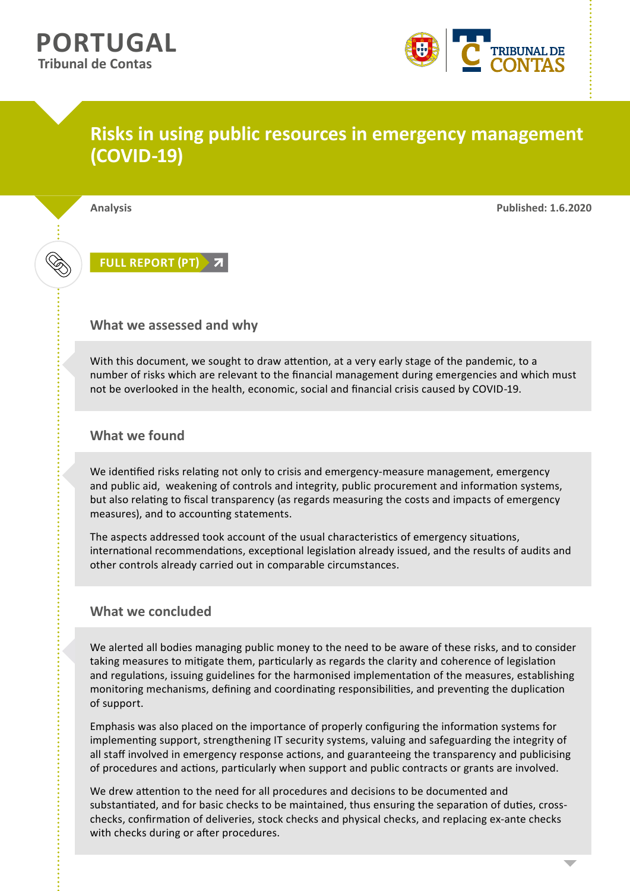

## **Risks in using public resources in emergency management (COVID-19)**

**Analysis Published: 1.6.2020**

**[FULL REPORT \(PT\)](https://www.tcontas.pt/pt-pt/ProdutosTC/Relatorios/relatorios-oac/Documents/2020/relatorio-oac-2020-01.pdf)**

## **What we assessed and why**

With this document, we sought to draw attention, at a very early stage of the pandemic, to a number of risks which are relevant to the financial management during emergencies and which must not be overlooked in the health, economic, social and financial crisis caused by COVID-19.

## **What we found**

We identified risks relating not only to crisis and emergency-measure management, emergency and public aid, weakening of controls and integrity, public procurement and information systems, but also relating to fiscal transparency (as regards measuring the costs and impacts of emergency measures), and to accounting statements.

The aspects addressed took account of the usual characteristics of emergency situations, international recommendations, exceptional legislation already issued, and the results of audits and other controls already carried out in comparable circumstances.

## **What we concluded**

We alerted all bodies managing public money to the need to be aware of these risks, and to consider taking measures to mitigate them, particularly as regards the clarity and coherence of legislation and regulations, issuing guidelines for the harmonised implementation of the measures, establishing monitoring mechanisms, defining and coordinating responsibilities, and preventing the duplication of support.

Emphasis was also placed on the importance of properly configuring the information systems for implementing support, strengthening IT security systems, valuing and safeguarding the integrity of all staff involved in emergency response actions, and guaranteeing the transparency and publicising of procedures and actions, particularly when support and public contracts or grants are involved.

We drew attention to the need for all procedures and decisions to be documented and substantiated, and for basic checks to be maintained, thus ensuring the separation of duties, crosschecks, confirmation of deliveries, stock checks and physical checks, and replacing ex-ante checks with checks during or after procedures.